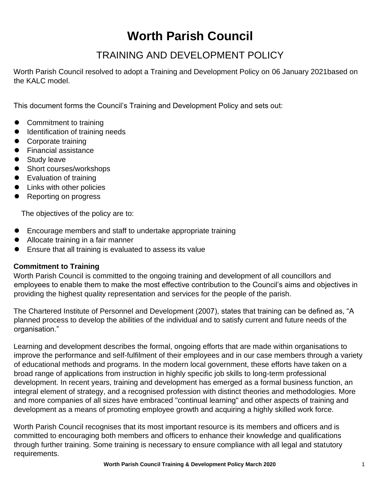# **Worth Parish Council**

## TRAINING AND DEVELOPMENT POLICY

Worth Parish Council resolved to adopt a Training and Development Policy on 06 January 2021based on the KALC model.

This document forms the Council's Training and Development Policy and sets out:

- Commitment to training
- Identification of training needs
- Corporate training
- Financial assistance
- Study leave
- Short courses/workshops
- ⚫ Evaluation of training
- Links with other policies
- Reporting on progress

The objectives of the policy are to:

- Encourage members and staff to undertake appropriate training
- Allocate training in a fair manner
- Ensure that all training is evaluated to assess its value

### **Commitment to Training**

Worth Parish Council is committed to the ongoing training and development of all councillors and employees to enable them to make the most effective contribution to the Council's aims and objectives in providing the highest quality representation and services for the people of the parish.

The Chartered Institute of Personnel and Development (2007), states that training can be defined as, "A planned process to develop the abilities of the individual and to satisfy current and future needs of the organisation."

Learning and development describes the formal, ongoing efforts that are made within organisations to improve the performance and self-fulfilment of their employees and in our case members through a variety of educational methods and programs. In the modern local government, these efforts have taken on a broad range of applications from instruction in highly specific job skills to long-term professional development. In recent years, training and development has emerged as a formal business function, an integral element of strategy, and a recognised profession with distinct theories and methodologies. More and more companies of all sizes have embraced "continual learning" and other aspects of training and development as a means of promoting employee growth and acquiring a highly skilled work force.

Worth Parish Council recognises that its most important resource is its members and officers and is committed to encouraging both members and officers to enhance their knowledge and qualifications through further training. Some training is necessary to ensure compliance with all legal and statutory requirements.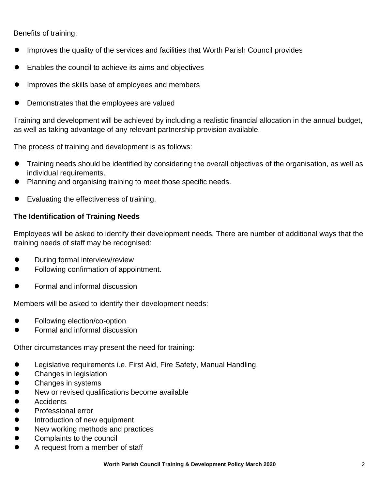Benefits of training:

- Improves the quality of the services and facilities that Worth Parish Council provides
- ⚫ Enables the council to achieve its aims and objectives
- Improves the skills base of employees and members
- Demonstrates that the employees are valued

Training and development will be achieved by including a realistic financial allocation in the annual budget, as well as taking advantage of any relevant partnership provision available.

The process of training and development is as follows:

- ⚫ Training needs should be identified by considering the overall objectives of the organisation, as well as individual requirements.
- Planning and organising training to meet those specific needs.
- ⚫ Evaluating the effectiveness of training.

### **The Identification of Training Needs**

Employees will be asked to identify their development needs. There are number of additional ways that the training needs of staff may be recognised:

- ⚫ During formal interview/review
- ⚫ Following confirmation of appointment.
- ⚫ Formal and informal discussion

Members will be asked to identify their development needs:

- ⚫ Following election/co-option
- ⚫ Formal and informal discussion

Other circumstances may present the need for training:

- Legislative requirements i.e. First Aid, Fire Safety, Manual Handling.
- ⚫ Changes in legislation
- Changes in systems
- New or revised qualifications become available
- Accidents
- ⚫ Professional error
- Introduction of new equipment
- New working methods and practices
- Complaints to the council
- ⚫ A request from a member of staff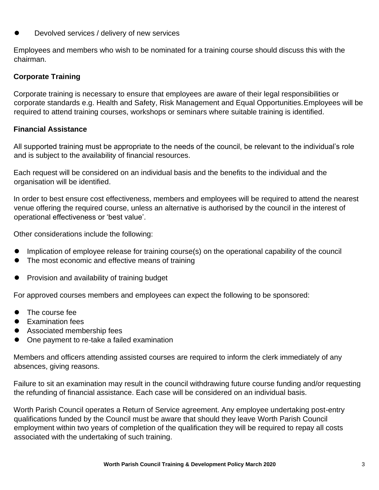⚫ Devolved services / delivery of new services

Employees and members who wish to be nominated for a training course should discuss this with the chairman.

## **Corporate Training**

Corporate training is necessary to ensure that employees are aware of their legal responsibilities or corporate standards e.g. Health and Safety, Risk Management and Equal Opportunities.Employees will be required to attend training courses, workshops or seminars where suitable training is identified.

#### **Financial Assistance**

All supported training must be appropriate to the needs of the council, be relevant to the individual's role and is subject to the availability of financial resources.

Each request will be considered on an individual basis and the benefits to the individual and the organisation will be identified.

In order to best ensure cost effectiveness, members and employees will be required to attend the nearest venue offering the required course, unless an alternative is authorised by the council in the interest of operational effectiveness or 'best value'.

Other considerations include the following:

- Implication of employee release for training course(s) on the operational capability of the council
- The most economic and effective means of training
- Provision and availability of training budget

For approved courses members and employees can expect the following to be sponsored:

- $\bullet$  The course fee
- Examination fees
- Associated membership fees
- ⚫ One payment to re-take a failed examination

Members and officers attending assisted courses are required to inform the clerk immediately of any absences, giving reasons.

Failure to sit an examination may result in the council withdrawing future course funding and/or requesting the refunding of financial assistance. Each case will be considered on an individual basis.

Worth Parish Council operates a Return of Service agreement. Any employee undertaking post-entry qualifications funded by the Council must be aware that should they leave Worth Parish Council employment within two years of completion of the qualification they will be required to repay all costs associated with the undertaking of such training.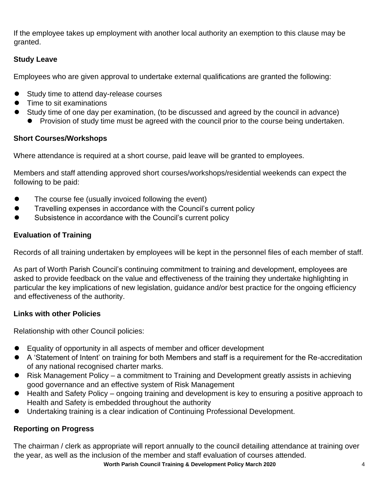If the employee takes up employment with another local authority an exemption to this clause may be granted.

## **Study Leave**

Employees who are given approval to undertake external qualifications are granted the following:

- Study time to attend day-release courses
- ⚫ Time to sit examinations
- Study time of one day per examination, (to be discussed and agreed by the council in advance)
	- Provision of study time must be agreed with the council prior to the course being undertaken.

## **Short Courses/Workshops**

Where attendance is required at a short course, paid leave will be granted to employees.

Members and staff attending approved short courses/workshops/residential weekends can expect the following to be paid:

- The course fee (usually invoiced following the event)
- Travelling expenses in accordance with the Council's current policy
- ⚫ Subsistence in accordance with the Council's current policy

## **Evaluation of Training**

Records of all training undertaken by employees will be kept in the personnel files of each member of staff.

As part of Worth Parish Council's continuing commitment to training and development, employees are asked to provide feedback on the value and effectiveness of the training they undertake highlighting in particular the key implications of new legislation, guidance and/or best practice for the ongoing efficiency and effectiveness of the authority.

## **Links with other Policies**

Relationship with other Council policies:

- ⚫ Equality of opportunity in all aspects of member and officer development
- A 'Statement of Intent' on training for both Members and staff is a requirement for the Re-accreditation of any national recognised charter marks.
- Risk Management Policy a commitment to Training and Development greatly assists in achieving good governance and an effective system of Risk Management
- Health and Safety Policy ongoing training and development is key to ensuring a positive approach to Health and Safety is embedded throughout the authority
- ⚫ Undertaking training is a clear indication of Continuing Professional Development.

## **Reporting on Progress**

The chairman / clerk as appropriate will report annually to the council detailing attendance at training over the year, as well as the inclusion of the member and staff evaluation of courses attended.

**Worth Parish Council Training & Development Policy March 2020** 4